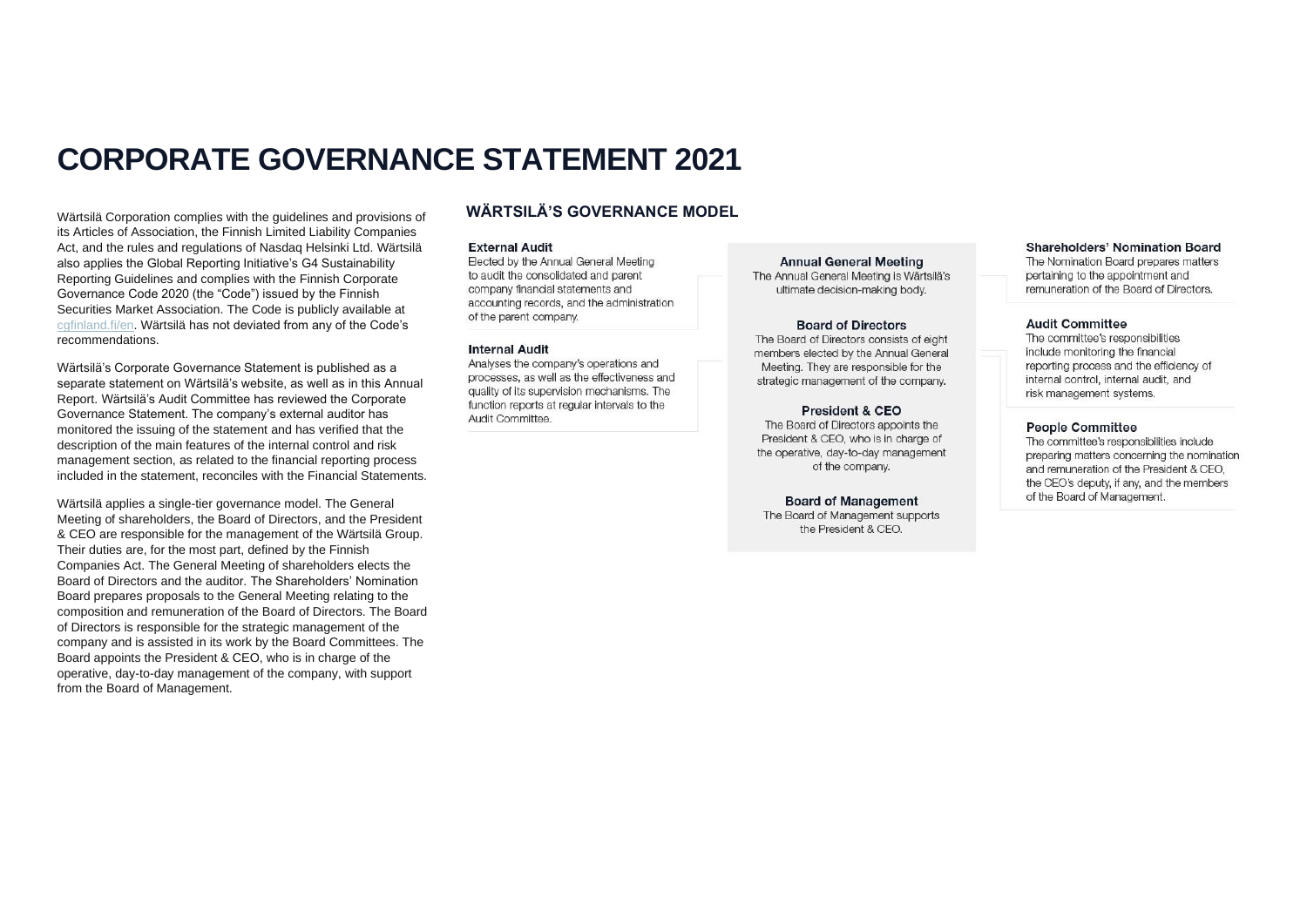# **CORPORATE GOVERNANCE STATEMENT 2021**

Wärtsilä Corporation complies with the guidelines and provisions of its Articles of Association, the Finnish Limited Liability Companies Act, and the rules and regulations of Nasdaq Helsinki Ltd. Wärtsilä also applies the Global Reporting Initiative's G4 Sustainability Reporting Guidelines and complies with the Finnish Corporate Governance Code 2020 (the "Code") issued by the Finnish Securities Market Association. The Code is publicly available at [cgfinland.fi/en.](https://cgfinland.fi/en) Wärtsilä has not deviated from any of the Code's recommendations.

Wärtsilä's Corporate Governance Statement is published as a separate statement on Wärtsilä's website, as well as in this Annual Report. Wärtsilä's Audit Committee has reviewed the Corporate Governance Statement. The company's external auditor has monitored the issuing of the statement and has verified that the description of the main features of the internal control and risk management section, as related to the financial reporting process included in the statement, reconciles with the Financial Statements.

Wärtsilä applies a single-tier governance model. The General Meeting of shareholders, the Board of Directors, and the President & CEO are responsible for the management of the Wärtsilä Group. Their duties are, for the most part, defined by the Finnish Companies Act. The General Meeting of shareholders elects the Board of Directors and the auditor. The Shareholders' Nomination Board prepares proposals to the General Meeting relating to the composition and remuneration of the Board of Directors. The Board of Directors is responsible for the strategic management of the company and is assisted in its work by the Board Committees. The Board appoints the President & CEO, who is in charge of the operative, day-to-day management of the company, with support from the Board of Management.

# **WÄRTSILÄ'S GOVERNANCE MODEL**

#### **External Audit**

Elected by the Annual General Meeting to audit the consolidated and parent company financial statements and accounting records, and the administration of the parent company.

#### **Internal Audit**

Analyses the company's operations and processes, as well as the effectiveness and quality of its supervision mechanisms. The function reports at regular intervals to the Audit Committee.

**Annual General Meeting** The Annual General Meeting is Wärtsilä's ultimate decision-making body.

#### **Board of Directors**

The Board of Directors consists of eight members elected by the Annual General Meeting. They are responsible for the strategic management of the company.

#### **President & CEO**

The Board of Directors appoints the President & CEO, who is in charge of the operative, day-to-day management of the company.

## **Board of Management**

The Board of Management supports the President & CEO.

#### Shareholders' Nomination Board

The Nomination Board prepares matters pertaining to the appointment and remuneration of the Board of Directors

#### **Audit Committee**

The committee's responsibilities include monitoring the financial reporting process and the efficiency of internal control, internal audit, and risk management systems.

#### **People Committee**

The committee's responsibilities include preparing matters concerning the nomination and remuneration of the President & CEO. the CEO's deputy, if any, and the members of the Board of Management.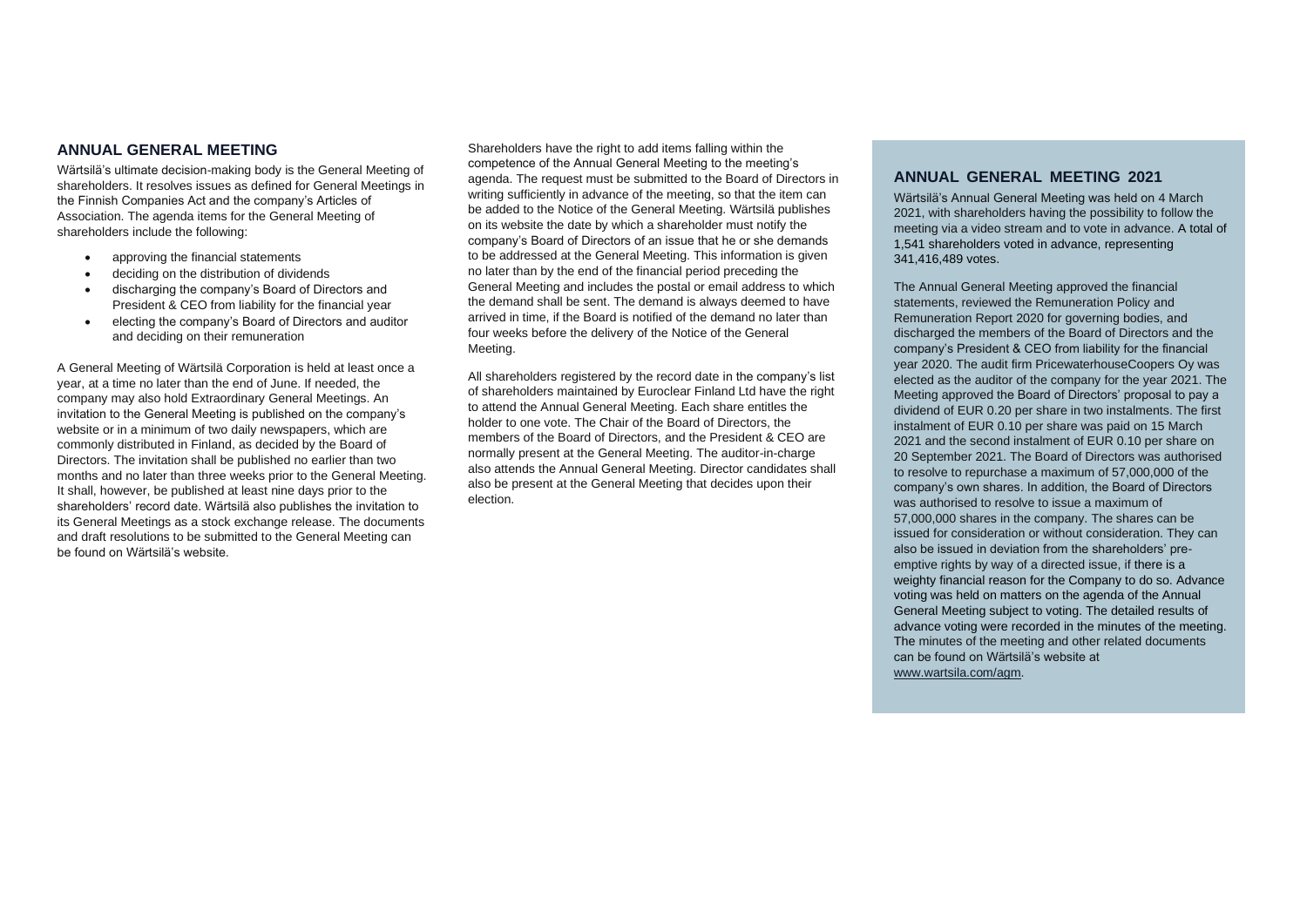# **ANNUAL GENERAL MEETING**

Wärtsilä's ultimate decision-making body is the General Meeting of shareholders. It resolves issues as defined for General Meetings in the Finnish Companies Act and the company's Articles of Association. The agenda items for the General Meeting of shareholders include the following:

- approving the financial statements
- deciding on the distribution of dividends
- discharging the company's Board of Directors and President & CEO from liability for the financial year
- electing the company's Board of Directors and auditor and deciding on their remuneration

A General Meeting of Wärtsilä Corporation is held at least once a year, at a time no later than the end of June. If needed, the company may also hold Extraordinary General Meetings. An invitation to the General Meeting is published on the company's website or in a minimum of two daily newspapers, which are commonly distributed in Finland, as decided by the Board of Directors. The invitation shall be published no earlier than two months and no later than three weeks prior to the General Meeting. It shall, however, be published at least nine days prior to the shareholders' record date. Wärtsilä also publishes the invitation to its General Meetings as a stock exchange release. The documents and draft resolutions to be submitted to the General Meeting can be found on Wärtsilä's website.

Shareholders have the right to add items falling within the competence of the Annual General Meeting to the meeting's agenda. The request must be submitted to the Board of Directors in writing sufficiently in advance of the meeting, so that the item can be added to the Notice of the General Meeting. Wärtsilä publishes on its website the date by which a shareholder must notify the company's Board of Directors of an issue that he or she demands to be addressed at the General Meeting. This information is given no later than by the end of the financial period preceding the General Meeting and includes the postal or email address to which the demand shall be sent. The demand is always deemed to have arrived in time, if the Board is notified of the demand no later than four weeks before the delivery of the Notice of the General Meeting.

All shareholders registered by the record date in the company's list of shareholders maintained by Euroclear Finland Ltd have the right to attend the Annual General Meeting. Each share entitles the holder to one vote. The Chair of the Board of Directors, the members of the Board of Directors, and the President & CEO are normally present at the General Meeting. The auditor-in-charge also attends the Annual General Meeting. Director candidates shall also be present at the General Meeting that decides upon their election.

## **ANNUAL GENERAL MEETING 2021**

Wärtsilä's Annual General Meeting was held on 4 March 2021, with shareholders having the possibility to follow the meeting via a video stream and to vote in advance. A total of 1,541 shareholders voted in advance, representing 341,416,489 votes.

The Annual General Meeting approved the financial statements, reviewed the Remuneration Policy and Remuneration Report 2020 for governing bodies, and discharged the members of the Board of Directors and the company's President & CEO from liability for the financial year 2020. The audit firm PricewaterhouseCoopers Oy was elected as the auditor of the company for the year 2021. The Meeting approved the Board of Directors' proposal to pay a dividend of EUR 0.20 per share in two instalments. The first instalment of EUR 0.10 per share was paid on 15 March 2021 and the second instalment of EUR 0.10 per share on 20 September 2021. The Board of Directors was authorised to resolve to repurchase a maximum of 57,000,000 of the company's own shares. In addition, the Board of Directors was authorised to resolve to issue a maximum of 57,000,000 shares in the company. The shares can be issued for consideration or without consideration. They can also be issued in deviation from the shareholders' preemptive rights by way of a directed issue, if there is a weighty financial reason for the Company to do so. Advance voting was held on matters on the agenda of the Annual General Meeting subject to voting. The detailed results of advance voting were recorded in the minutes of the meeting. The minutes of the meeting and other related documents can be found on Wärtsilä's website at [www.wartsila.com/agm.](http://www.wartsila.com/agm)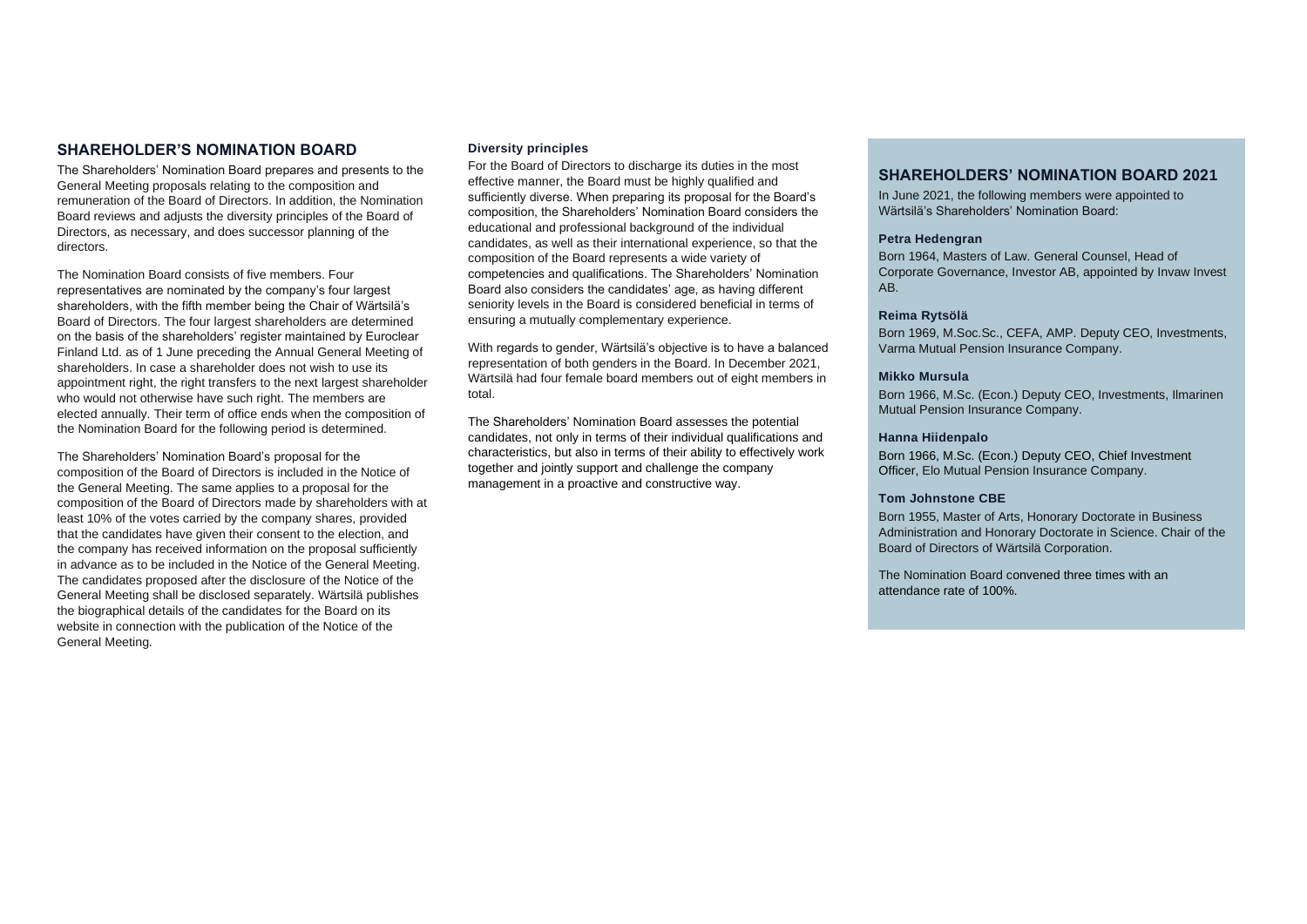# **SHAREHOLDER'S NOMINATION BOARD**

The Shareholders' Nomination Board prepares and presents to the General Meeting proposals relating to the composition and remuneration of the Board of Directors. In addition, the Nomination Board reviews and adjusts the diversity principles of the Board of Directors, as necessary, and does successor planning of the directors.

The Nomination Board consists of five members. Four representatives are nominated by the company's four largest shareholders, with the fifth member being the Chair of Wärtsilä's Board of Directors. The four largest shareholders are determined on the basis of the shareholders' register maintained by Euroclear Finland Ltd. as of 1 June preceding the Annual General Meeting of shareholders. In case a shareholder does not wish to use its appointment right, the right transfers to the next largest shareholder who would not otherwise have such right. The members are elected annually. Their term of office ends when the composition of the Nomination Board for the following period is determined.

The Shareholders' Nomination Board's proposal for the composition of the Board of Directors is included in the Notice of the General Meeting. The same applies to a proposal for the composition of the Board of Directors made by shareholders with at least 10% of the votes carried by the company shares, provided that the candidates have given their consent to the election, and the company has received information on the proposal sufficiently in advance as to be included in the Notice of the General Meeting. The candidates proposed after the disclosure of the Notice of the General Meeting shall be disclosed separately. Wärtsilä publishes the biographical details of the candidates for the Board on its website in connection with the publication of the Notice of the General Meeting.

## **Diversity principles**

For the Board of Directors to discharge its duties in the most effective manner, the Board must be highly qualified and sufficiently diverse. When preparing its proposal for the Board's composition, the Shareholders' Nomination Board considers the educational and professional background of the individual candidates, as well as their international experience, so that the composition of the Board represents a wide variety of competencies and qualifications. The Shareholders' Nomination Board also considers the candidates' age, as having different seniority levels in the Board is considered beneficial in terms of ensuring a mutually complementary experience.

With regards to gender, Wärtsilä's objective is to have a balanced representation of both genders in the Board. In December 2021, Wärtsilä had four female board members out of eight members in total.

The Shareholders' Nomination Board assesses the potential candidates, not only in terms of their individual qualifications and characteristics, but also in terms of their ability to effectively work together and jointly support and challenge the company management in a proactive and constructive way.

# **SHAREHOLDERS' NOMINATION BOARD 2021**

In June 2021, the following members were appointed to Wärtsilä's Shareholders' Nomination Board:

## **Petra Hedengran**

Born 1964, Masters of Law. General Counsel, Head of Corporate Governance, Investor AB, appointed by Invaw Invest AB.

## **Reima Rytsölä**

Born 1969, M.Soc.Sc., CEFA, AMP. Deputy CEO, Investments, Varma Mutual Pension Insurance Company.

## **Mikko Mursula**

Born 1966, M.Sc. (Econ.) Deputy CEO, Investments, Ilmarinen Mutual Pension Insurance Company.

## **Hanna Hiidenpalo**

Born 1966, M.Sc. (Econ.) Deputy CEO, Chief Investment Officer, Elo Mutual Pension Insurance Company.

## **Tom Johnstone CBE**

Born 1955, Master of Arts, Honorary Doctorate in Business Administration and Honorary Doctorate in Science. Chair of the Board of Directors of Wärtsilä Corporation.

The Nomination Board convened three times with an attendance rate of 100%.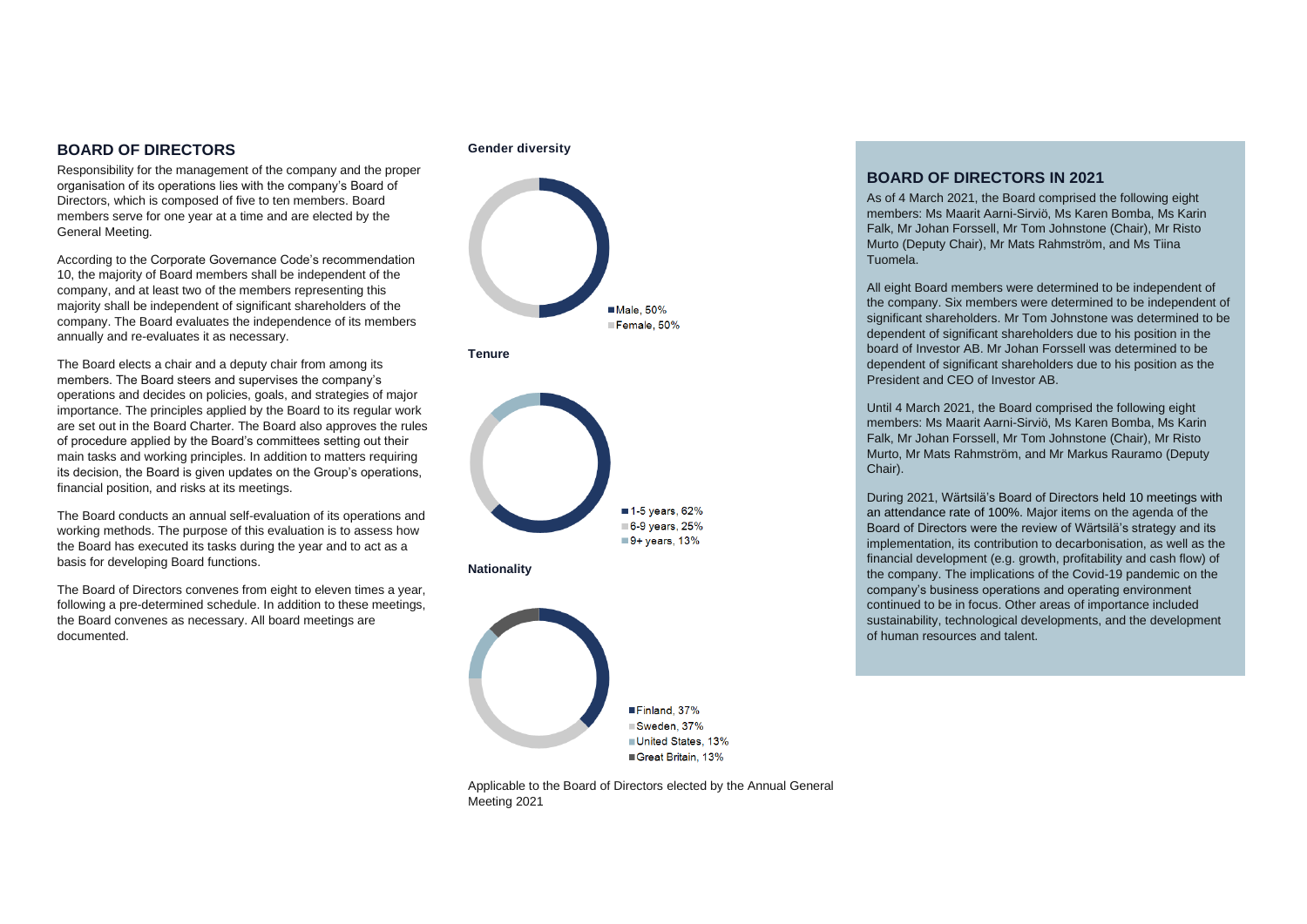# **BOARD OF DIRECTORS**

Responsibility for the management of the company and the proper organisation of its operations lies with the company's Board of Directors, which is composed of five to ten members. Board members serve for one year at a time and are elected by the General Meeting.

According to the Corporate Governance Code's recommendation 10, the majority of Board members shall be independent of the company, and at least two of the members representing this majority shall be independent of significant shareholders of the company. The Board evaluates the independence of its members annually and re-evaluates it as necessary.

The Board elects a chair and a deputy chair from among its members. The Board steers and supervises the company's operations and decides on policies, goals, and strategies of major importance. The principles applied by the Board to its regular work are set out in the Board Charter. The Board also approves the rules of procedure applied by the Board's committees setting out their main tasks and working principles. In addition to matters requiring its decision, the Board is given updates on the Group's operations, financial position, and risks at its meetings.

The Board conducts an annual self-evaluation of its operations and working methods. The purpose of this evaluation is to assess how the Board has executed its tasks during the year and to act as a basis for developing Board functions.

The Board of Directors convenes from eight to eleven times a year, following a pre-determined schedule. In addition to these meetings. the Board convenes as necessary. All board meetings are documented.

#### **Gender diversity**





**Nationality**



Applicable to the Board of Directors elected by the Annual General Meeting 2021

# **BOARD OF DIRECTORS IN 2021**

As of 4 March 2021, the Board comprised the following eight members: Ms Maarit Aarni-Sirviö, Ms Karen Bomba, Ms Karin Falk, Mr Johan Forssell, Mr Tom Johnstone (Chair), Mr Risto Murto (Deputy Chair), Mr Mats Rahmström, and Ms Tiina Tuomela.

All eight Board members were determined to be independent of the company. Six members were determined to be independent of significant shareholders. Mr Tom Johnstone was determined to be dependent of significant shareholders due to his position in the board of Investor AB. Mr Johan Forssell was determined to be dependent of significant shareholders due to his position as the President and CEO of Investor AB.

Until 4 March 2021, the Board comprised the following eight members: Ms Maarit Aarni-Sirviö, Ms Karen Bomba, Ms Karin Falk, Mr Johan Forssell, Mr Tom Johnstone (Chair), Mr Risto Murto, Mr Mats Rahmström, and Mr Markus Rauramo (Deputy Chair).

During 2021, Wärtsilä's Board of Directors held 10 meetings with an attendance rate of 100%. Major items on the agenda of the Board of Directors were the review of Wärtsilä's strategy and its implementation, its contribution to decarbonisation, as well as the financial development (e.g. growth, profitability and cash flow) of the company. The implications of the Covid-19 pandemic on the company's business operations and operating environment continued to be in focus. Other areas of importance included sustainability, technological developments, and the development of human resources and talent.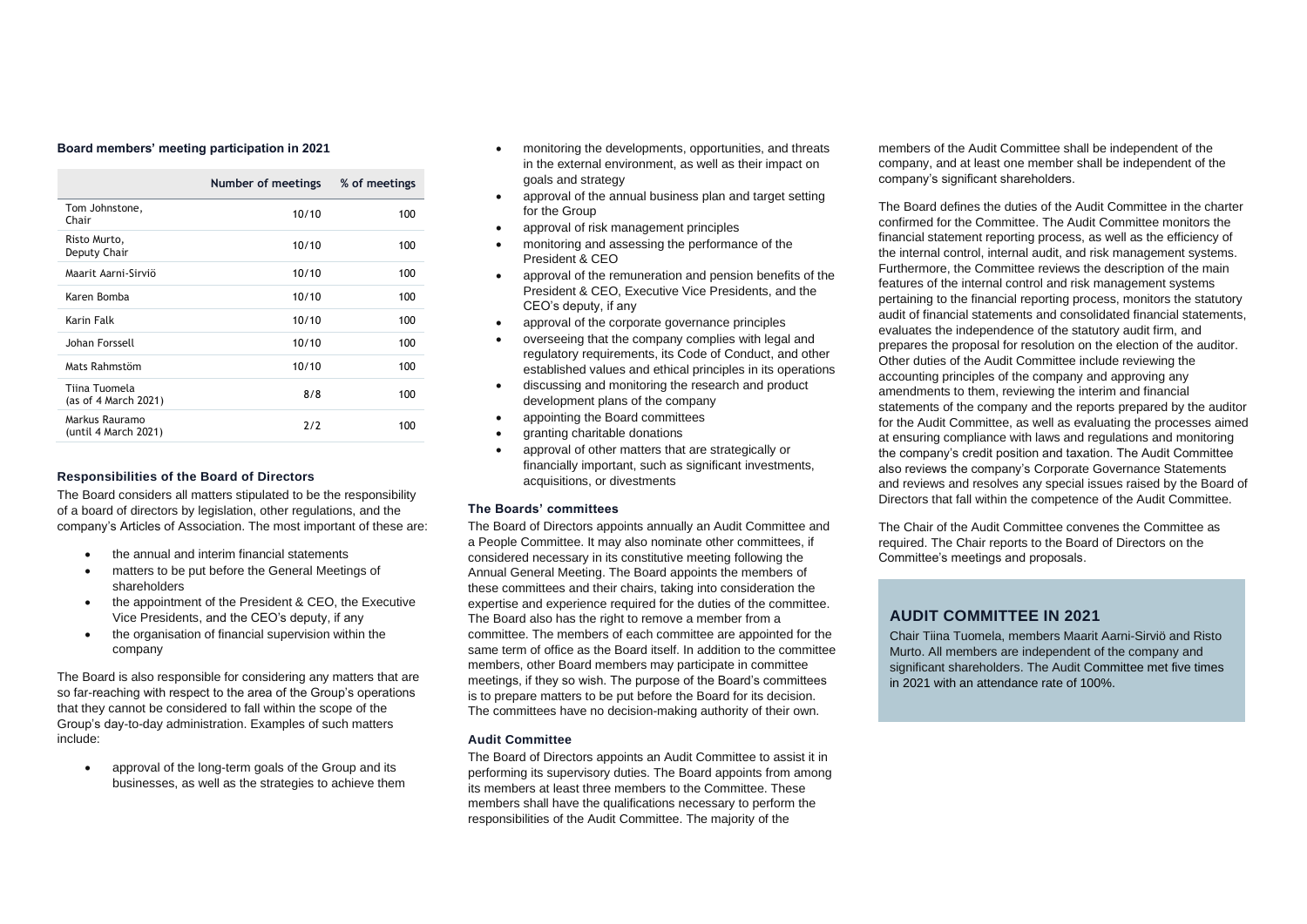#### **Board members' meeting participation in 2021**

|                                        | Number of meetings | % of meetings |
|----------------------------------------|--------------------|---------------|
| Tom Johnstone,<br>Chair                | 10/10              | 100           |
| Risto Murto,<br>Deputy Chair           | 10/10              | 100           |
| Maarit Aarni-Sirviö                    | 10/10              | 100           |
| Karen Bomba                            | 10/10              | 100           |
| Karin Falk                             | 10/10              | 100           |
| Johan Forssell                         | 10/10              | 100           |
| Mats Rahmstöm                          | 10/10              | 100           |
| Tiina Tuomela<br>(as of 4 March 2021)  | 8/8                | 100           |
| Markus Rauramo<br>(until 4 March 2021) | 7/7                | 100           |

#### **Responsibilities of the Board of Directors**

The Board considers all matters stipulated to be the responsibility of a board of directors by legislation, other regulations, and the company's Articles of Association. The most important of these are:

- the annual and interim financial statements
- matters to be put before the General Meetings of shareholders
- the appointment of the President & CEO, the Executive Vice Presidents, and the CEO's deputy, if any
- the organisation of financial supervision within the company

The Board is also responsible for considering any matters that are so far-reaching with respect to the area of the Group's operations that they cannot be considered to fall within the scope of the Group's day-to-day administration. Examples of such matters include:

approval of the long-term goals of the Group and its businesses, as well as the strategies to achieve them

- monitoring the developments, opportunities, and threats in the external environment, as well as their impact on goals and strategy
- approval of the annual business plan and target setting for the Group
- approval of risk management principles
- monitoring and assessing the performance of the President & CEO
- approval of the remuneration and pension benefits of the President & CEO, Executive Vice Presidents, and the CEO's deputy, if any
- approval of the corporate governance principles
- overseeing that the company complies with legal and regulatory requirements, its Code of Conduct, and other established values and ethical principles in its operations
- discussing and monitoring the research and product development plans of the company
- appointing the Board committees
- granting charitable donations
- approval of other matters that are strategically or financially important, such as significant investments, acquisitions, or divestments

#### **The Boards' committees**

The Board of Directors appoints annually an Audit Committee and a People Committee. It may also nominate other committees, if considered necessary in its constitutive meeting following the Annual General Meeting. The Board appoints the members of these committees and their chairs, taking into consideration the expertise and experience required for the duties of the committee. The Board also has the right to remove a member from a committee. The members of each committee are appointed for the same term of office as the Board itself. In addition to the committee members, other Board members may participate in committee meetings, if they so wish. The purpose of the Board's committees is to prepare matters to be put before the Board for its decision. The committees have no decision-making authority of their own.

#### **Audit Committee**

The Board of Directors appoints an Audit Committee to assist it in performing its supervisory duties. The Board appoints from among its members at least three members to the Committee. These members shall have the qualifications necessary to perform the responsibilities of the Audit Committee. The majority of the

members of the Audit Committee shall be independent of the company, and at least one member shall be independent of the company's significant shareholders.

The Board defines the duties of the Audit Committee in the charter confirmed for the Committee. The Audit Committee monitors the financial statement reporting process, as well as the efficiency of the internal control, internal audit, and risk management systems. Furthermore, the Committee reviews the description of the main features of the internal control and risk management systems pertaining to the financial reporting process, monitors the statutory audit of financial statements and consolidated financial statements, evaluates the independence of the statutory audit firm, and prepares the proposal for resolution on the election of the auditor. Other duties of the Audit Committee include reviewing the accounting principles of the company and approving any amendments to them, reviewing the interim and financial statements of the company and the reports prepared by the auditor for the Audit Committee, as well as evaluating the processes aimed at ensuring compliance with laws and regulations and monitoring the company's credit position and taxation. The Audit Committee also reviews the company's Corporate Governance Statements and reviews and resolves any special issues raised by the Board of Directors that fall within the competence of the Audit Committee.

The Chair of the Audit Committee convenes the Committee as required. The Chair reports to the Board of Directors on the Committee's meetings and proposals.

# **AUDIT COMMITTEE IN 2021**

Chair Tiina Tuomela, members Maarit Aarni-Sirviö and Risto Murto. All members are independent of the company and significant shareholders. The Audit Committee met five times in 2021 with an attendance rate of 100%.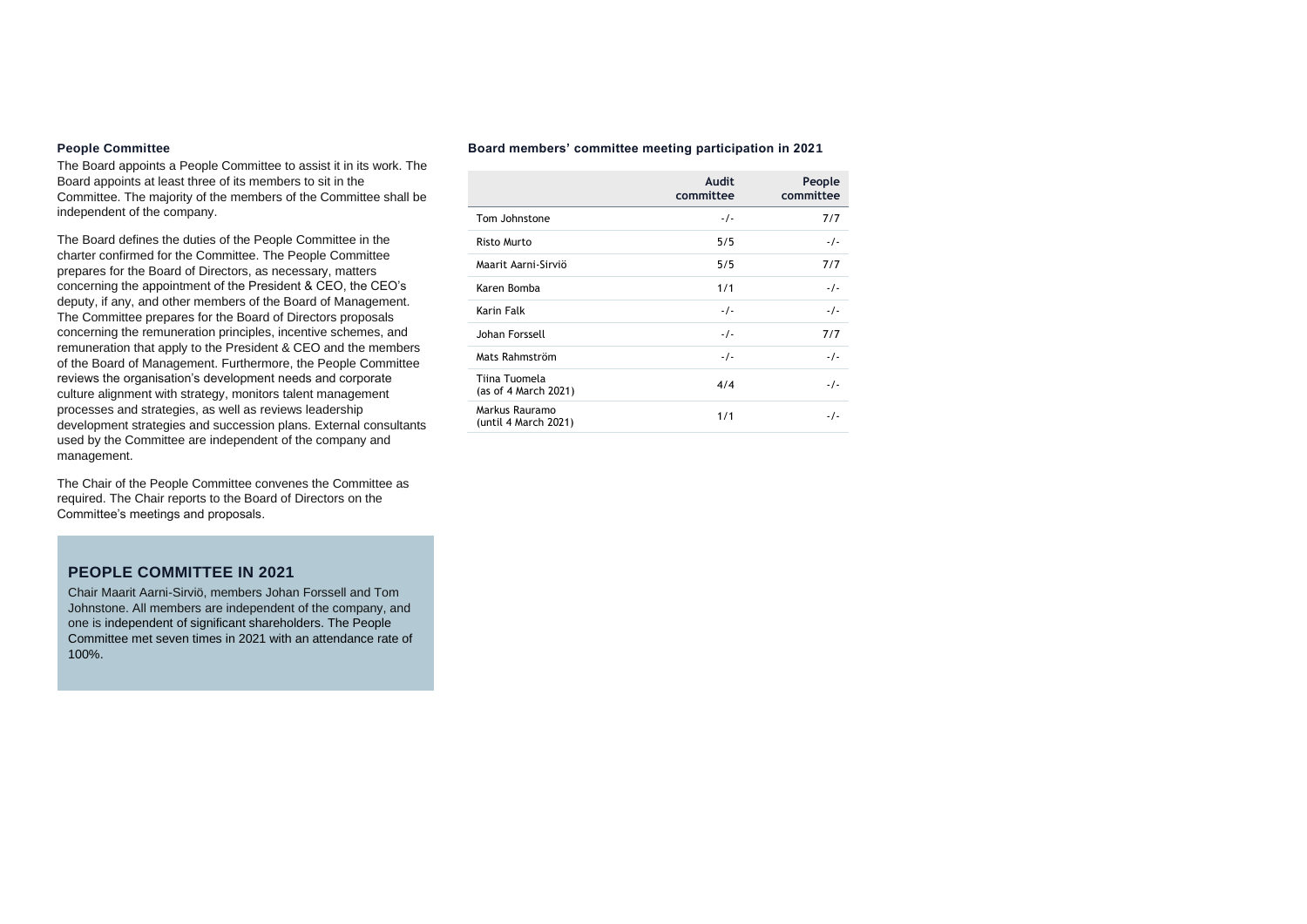#### **People Committee**

The Board appoints a People Committee to assist it in its work. The Board appoints at least three of its members to sit in the Committee. The majority of the members of the Committee shall be independent of the company.

The Board defines the duties of the People Committee in the charter confirmed for the Committee. The People Committee prepares for the Board of Directors, as necessary, matters concerning the appointment of the President & CEO, the CEO's deputy, if any, and other members of the Board of Management. The Committee prepares for the Board of Directors proposals concerning the remuneration principles, incentive schemes, and remuneration that apply to the President & CEO and the members of the Board of Management. Furthermore, the People Committee reviews the organisation's development needs and corporate culture alignment with strategy, monitors talent management processes and strategies, as well as reviews leadership development strategies and succession plans. External consultants used by the Committee are independent of the company and management.

The Chair of the People Committee convenes the Committee as required. The Chair reports to the Board of Directors on the Committee's meetings and proposals.

# **PEOPLE COMMITTEE IN 2021**

Chair Maarit Aarni-Sirviö, members Johan Forssell and Tom Johnstone. All members are independent of the company, and one is independent of significant shareholders. The People Committee met seven times in 2021 with an attendance rate of 100%.

#### **Board members' committee meeting participation in 2021**

|                                        | Audit<br>committee | People<br>committee |
|----------------------------------------|--------------------|---------------------|
| Tom Johnstone                          | $-1-$              | 7/7                 |
| <b>Risto Murto</b>                     | 5/5                | $-1$                |
| Maarit Aarni-Sirviö                    | 5/5                | 7/7                 |
| Karen Bomba                            | 1/1                | $-1-$               |
| <b>Karin Falk</b>                      | $-1$               | $-1$                |
| Johan Forssell                         | $-1$               | 7/7                 |
| Mats Rahmström                         | $-1-$              | $-1-$               |
| Tiina Tuomela<br>(as of 4 March 2021)  | 4/4                | $-1-$               |
| Markus Rauramo<br>(until 4 March 2021) | 1/1                | -7-                 |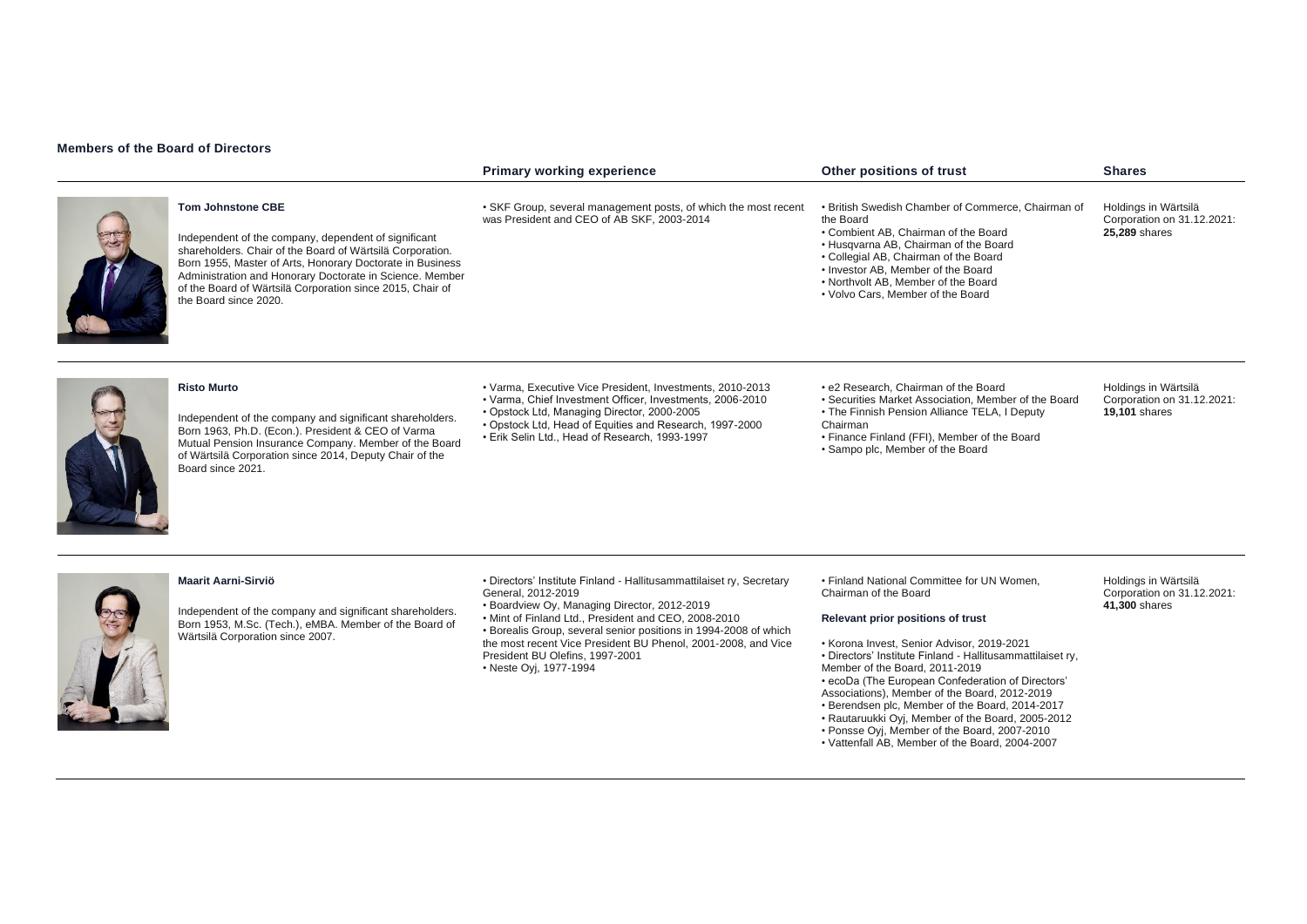## **Members of the Board of Directors**

|                                                                                                                                                                                                                                                                                                                                                              | <b>Primary working experience</b>                                                                                                                                                                                                                                                                                                                                                                    | Other positions of trust                                                                                                                                                                                                                                                                                                                                                                                                                                             | <b>Shares</b>                                                              |
|--------------------------------------------------------------------------------------------------------------------------------------------------------------------------------------------------------------------------------------------------------------------------------------------------------------------------------------------------------------|------------------------------------------------------------------------------------------------------------------------------------------------------------------------------------------------------------------------------------------------------------------------------------------------------------------------------------------------------------------------------------------------------|----------------------------------------------------------------------------------------------------------------------------------------------------------------------------------------------------------------------------------------------------------------------------------------------------------------------------------------------------------------------------------------------------------------------------------------------------------------------|----------------------------------------------------------------------------|
| <b>Tom Johnstone CBE</b><br>Independent of the company, dependent of significant<br>shareholders. Chair of the Board of Wärtsilä Corporation.<br>Born 1955, Master of Arts, Honorary Doctorate in Business<br>Administration and Honorary Doctorate in Science. Member<br>of the Board of Wärtsilä Corporation since 2015, Chair of<br>the Board since 2020. | • SKF Group, several management posts, of which the most recent<br>was President and CEO of AB SKF, 2003-2014                                                                                                                                                                                                                                                                                        | • British Swedish Chamber of Commerce, Chairman of<br>the Board<br>• Combient AB. Chairman of the Board<br>• Husqvarna AB, Chairman of the Board<br>• Collegial AB, Chairman of the Board<br>• Investor AB, Member of the Board<br>. Northvolt AB. Member of the Board<br>• Volvo Cars, Member of the Board                                                                                                                                                          | Holdings in Wärtsilä<br>Corporation on 31.12.2021:<br>25,289 shares        |
| <b>Risto Murto</b><br>Independent of the company and significant shareholders.<br>Born 1963, Ph.D. (Econ.). President & CEO of Varma<br>Mutual Pension Insurance Company. Member of the Board<br>of Wärtsilä Corporation since 2014, Deputy Chair of the<br>Board since 2021.                                                                                | • Varma, Executive Vice President, Investments, 2010-2013<br>• Varma, Chief Investment Officer, Investments, 2006-2010<br>• Opstock Ltd, Managing Director, 2000-2005<br>. Opstock Ltd, Head of Equities and Research, 1997-2000<br>• Erik Selin Ltd., Head of Research, 1993-1997                                                                                                                   | • e2 Research, Chairman of the Board<br>• Securities Market Association. Member of the Board<br>• The Finnish Pension Alliance TELA, I Deputy<br>Chairman<br>• Finance Finland (FFI), Member of the Board<br>• Sampo plc, Member of the Board                                                                                                                                                                                                                        | Holdings in Wärtsilä<br>Corporation on 31.12.2021:<br><b>19.101 shares</b> |
| <b>Maarit Aarni-Sirviö</b><br>Independent of the company and significant shareholders.<br>Born 1953, M.Sc. (Tech.), eMBA. Member of the Board of<br>Wärtsilä Corporation since 2007.                                                                                                                                                                         | · Directors' Institute Finland - Hallitusammattilaiset ry, Secretary<br>General, 2012-2019<br>• Boardview Oy, Managing Director, 2012-2019<br>. Mint of Finland Ltd., President and CEO, 2008-2010<br>• Borealis Group, several senior positions in 1994-2008 of which<br>the most recent Vice President BU Phenol, 2001-2008, and Vice<br>President BU Olefins, 1997-2001<br>• Neste Oyj, 1977-1994 | • Finland National Committee for UN Women,<br>Chairman of the Board<br>Relevant prior positions of trust<br>• Korona Invest, Senior Advisor, 2019-2021<br>· Directors' Institute Finland - Hallitusammattilaiset ry,<br>Member of the Board, 2011-2019<br>• ecoDa (The European Confederation of Directors'<br>Associations), Member of the Board, 2012-2019<br>• Berendsen plc, Member of the Board, 2014-2017<br>• Rautaruukki Oyj, Member of the Board, 2005-2012 | Holdings in Wärtsilä<br>Corporation on 31.12.2021:<br>41,300 shares        |

- Associations), Member of the Board, 2012-2019
- Berendsen plc, Member of the Board, 2014-2017
- Rautaruukki Oyj, Member of the Board, 2005-2012
- Ponsse Oyj, Member of the Board, 2007-2010
- Vattenfall AB, Member of the Board, 2004-2007
- 
- 
- 
- 
-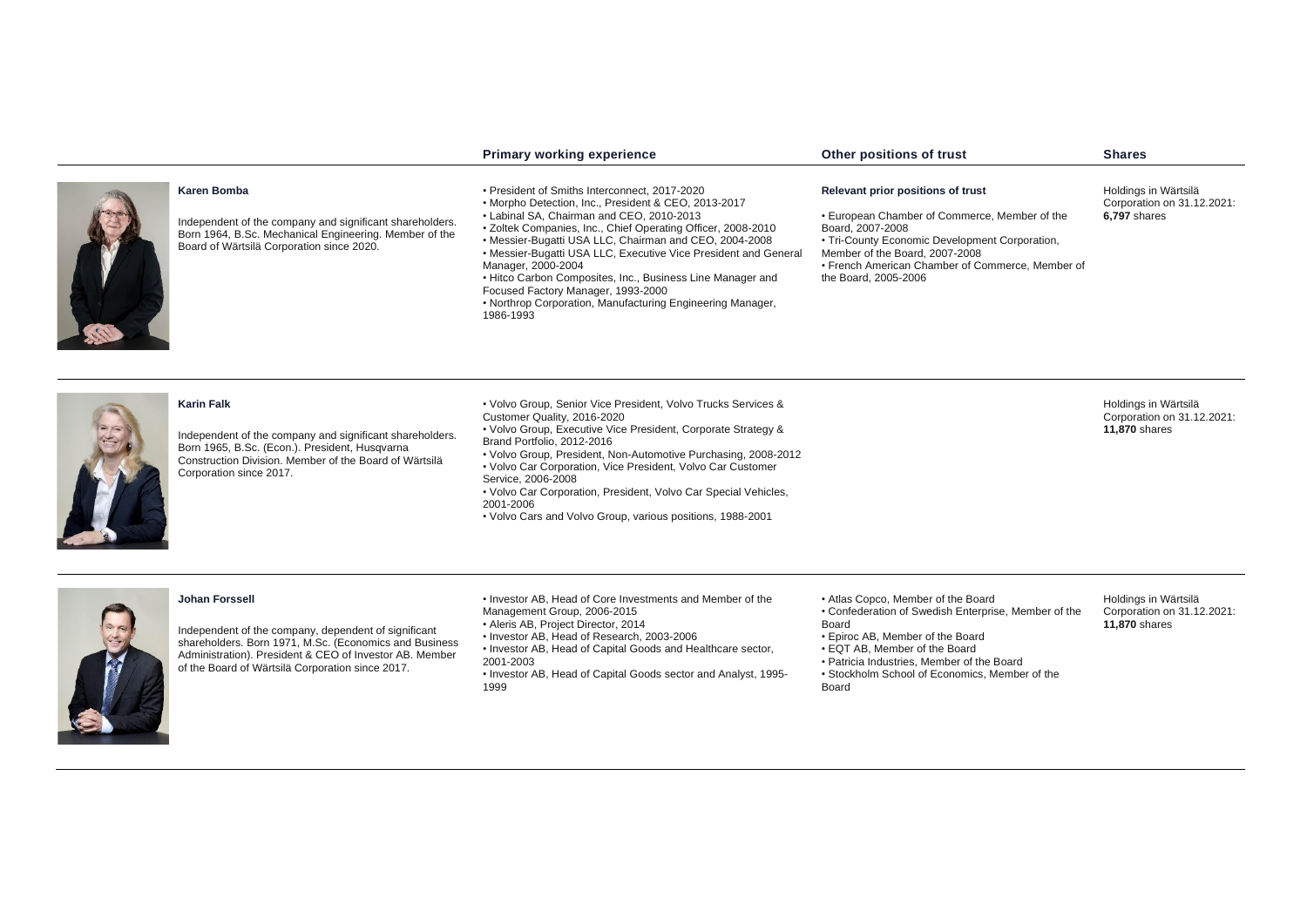|                                                                                                                                                                                                                      | <b>Primary working experience</b>                                                                                                                                                                                                                                                                                                                                                                                                                                                                                                                    | Other positions of trust                                                                                                                                                                                                                                               | <b>Shares</b>                                                              |
|----------------------------------------------------------------------------------------------------------------------------------------------------------------------------------------------------------------------|------------------------------------------------------------------------------------------------------------------------------------------------------------------------------------------------------------------------------------------------------------------------------------------------------------------------------------------------------------------------------------------------------------------------------------------------------------------------------------------------------------------------------------------------------|------------------------------------------------------------------------------------------------------------------------------------------------------------------------------------------------------------------------------------------------------------------------|----------------------------------------------------------------------------|
| Karen Bomba<br>Independent of the company and significant shareholders.<br>Born 1964, B.Sc. Mechanical Engineering. Member of the<br>Board of Wärtsilä Corporation since 2020.                                       | • President of Smiths Interconnect. 2017-2020<br>• Morpho Detection, Inc., President & CEO, 2013-2017<br>• Labinal SA, Chairman and CEO, 2010-2013<br>• Zoltek Companies, Inc., Chief Operating Officer, 2008-2010<br>• Messier-Bugatti USA LLC, Chairman and CEO, 2004-2008<br>• Messier-Bugatti USA LLC, Executive Vice President and General<br>Manager, 2000-2004<br>• Hitco Carbon Composites, Inc., Business Line Manager and<br>Focused Factory Manager, 1993-2000<br>• Northrop Corporation, Manufacturing Engineering Manager,<br>1986-1993 | Relevant prior positions of trust<br>• European Chamber of Commerce, Member of the<br>Board, 2007-2008<br>• Tri-County Economic Development Corporation,<br>Member of the Board, 2007-2008<br>• French American Chamber of Commerce, Member of<br>the Board, 2005-2006 | Holdings in Wärtsilä<br>Corporation on 31.12.2021:<br><b>6,797 shares</b>  |
| <b>Karin Falk</b><br>Independent of the company and significant shareholders.<br>Born 1965, B.Sc. (Econ.). President, Husqvarna<br>Construction Division. Member of the Board of Wärtsilä<br>Corporation since 2017. | • Volvo Group, Senior Vice President, Volvo Trucks Services &<br>Customer Quality, 2016-2020<br>• Volvo Group, Executive Vice President, Corporate Strategy &<br>Brand Portfolio, 2012-2016<br>• Volvo Group, President, Non-Automotive Purchasing, 2008-2012<br>• Volvo Car Corporation, Vice President, Volvo Car Customer<br>Service, 2006-2008<br>• Volvo Car Corporation, President, Volvo Car Special Vehicles,<br>2001-2006<br>• Volvo Cars and Volvo Group, various positions, 1988-2001                                                     |                                                                                                                                                                                                                                                                        | Holdings in Wärtsilä<br>Corporation on 31.12.2021:<br><b>11,870 shares</b> |

# **Johan Forssell**



**READERS** 

Independent of the company, dependent of significant shareholders. Born 1971, M.Sc. (Economics and Business Administration). President & CEO of Investor AB. Member of the Board of Wärtsilä Corporation since 2017.

• Investor AB, Head of Core Investments and Member of the Management Group, 2006-2015

- Aleris AB, Project Director, 2014
- Investor AB, Head of Research, 2003-2006
- Investor AB, Head of Capital Goods and Healthcare sector, 2001-2003
- Investor AB, Head of Capital Goods sector and Analyst, 1995- 1999
- Atlas Copco, Member of the Board
- Confederation of Swedish Enterprise, Member of the Board
- Epiroc AB, Member of the Board
- EQT AB, Member of the Board
- Patricia Industries, Member of the Board
- Stockholm School of Economics, Member of the
- Board

Holdings in Wärtsilä Corporation on 31.12.2021: **11,870** shares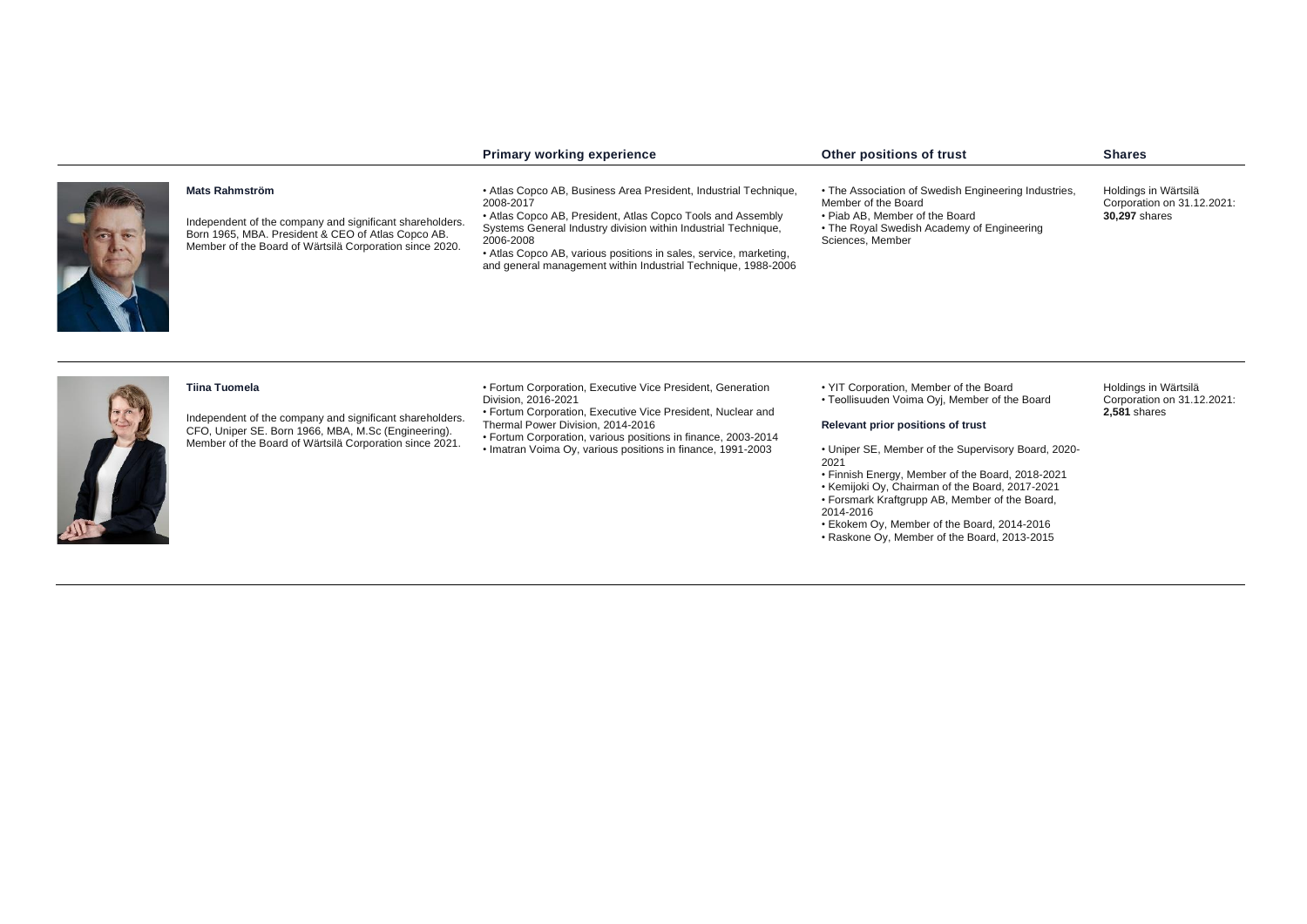|                                                                                                                                                                                                    | <b>Primary working experience</b>                                                                                                                                                                                                                                                                                                                                 | Other positions of trust                                                                                                                                                                                                                                                                                                                                                                                                                                         | <b>Shares</b>                                                              |
|----------------------------------------------------------------------------------------------------------------------------------------------------------------------------------------------------|-------------------------------------------------------------------------------------------------------------------------------------------------------------------------------------------------------------------------------------------------------------------------------------------------------------------------------------------------------------------|------------------------------------------------------------------------------------------------------------------------------------------------------------------------------------------------------------------------------------------------------------------------------------------------------------------------------------------------------------------------------------------------------------------------------------------------------------------|----------------------------------------------------------------------------|
| <b>Mats Rahmström</b><br>Independent of the company and significant shareholders.<br>Born 1965, MBA. President & CEO of Atlas Copco AB.<br>Member of the Board of Wärtsilä Corporation since 2020. | • Atlas Copco AB, Business Area President, Industrial Technique,<br>2008-2017<br>• Atlas Copco AB, President, Atlas Copco Tools and Assembly<br>Systems General Industry division within Industrial Technique,<br>2006-2008<br>• Atlas Copco AB, various positions in sales, service, marketing,<br>and general management within Industrial Technique, 1988-2006 | • The Association of Swedish Engineering Industries,<br>Member of the Board<br>• Piab AB, Member of the Board<br>• The Royal Swedish Academy of Engineering<br>Sciences, Member                                                                                                                                                                                                                                                                                  | Holdings in Wärtsilä<br>Corporation on 31.12.2021:<br><b>30,297 shares</b> |
| <b>Tiina Tuomela</b><br>Independent of the company and significant shareholders.<br>CFO, Uniper SE. Born 1966, MBA, M.Sc (Engineering).<br>Member of the Board of Wärtsilä Corporation since 2021. | • Fortum Corporation, Executive Vice President, Generation<br>Division, 2016-2021<br>• Fortum Corporation, Executive Vice President, Nuclear and<br>Thermal Power Division, 2014-2016<br>• Fortum Corporation, various positions in finance, 2003-2014<br>• Imatran Voima Oy, various positions in finance, 1991-2003                                             | • YIT Corporation, Member of the Board<br>• Teollisuuden Voima Oyj, Member of the Board<br>Relevant prior positions of trust<br>• Uniper SE, Member of the Supervisory Board, 2020-<br>2021<br>• Finnish Energy, Member of the Board, 2018-2021<br>• Kemijoki Oy, Chairman of the Board, 2017-2021<br>• Forsmark Kraftgrupp AB, Member of the Board,<br>2014-2016<br>• Ekokem Oy, Member of the Board, 2014-2016<br>• Raskone Oy, Member of the Board, 2013-2015 | Holdings in Wärtsilä<br>Corporation on 31.12.2021:<br><b>2.581 shares</b>  |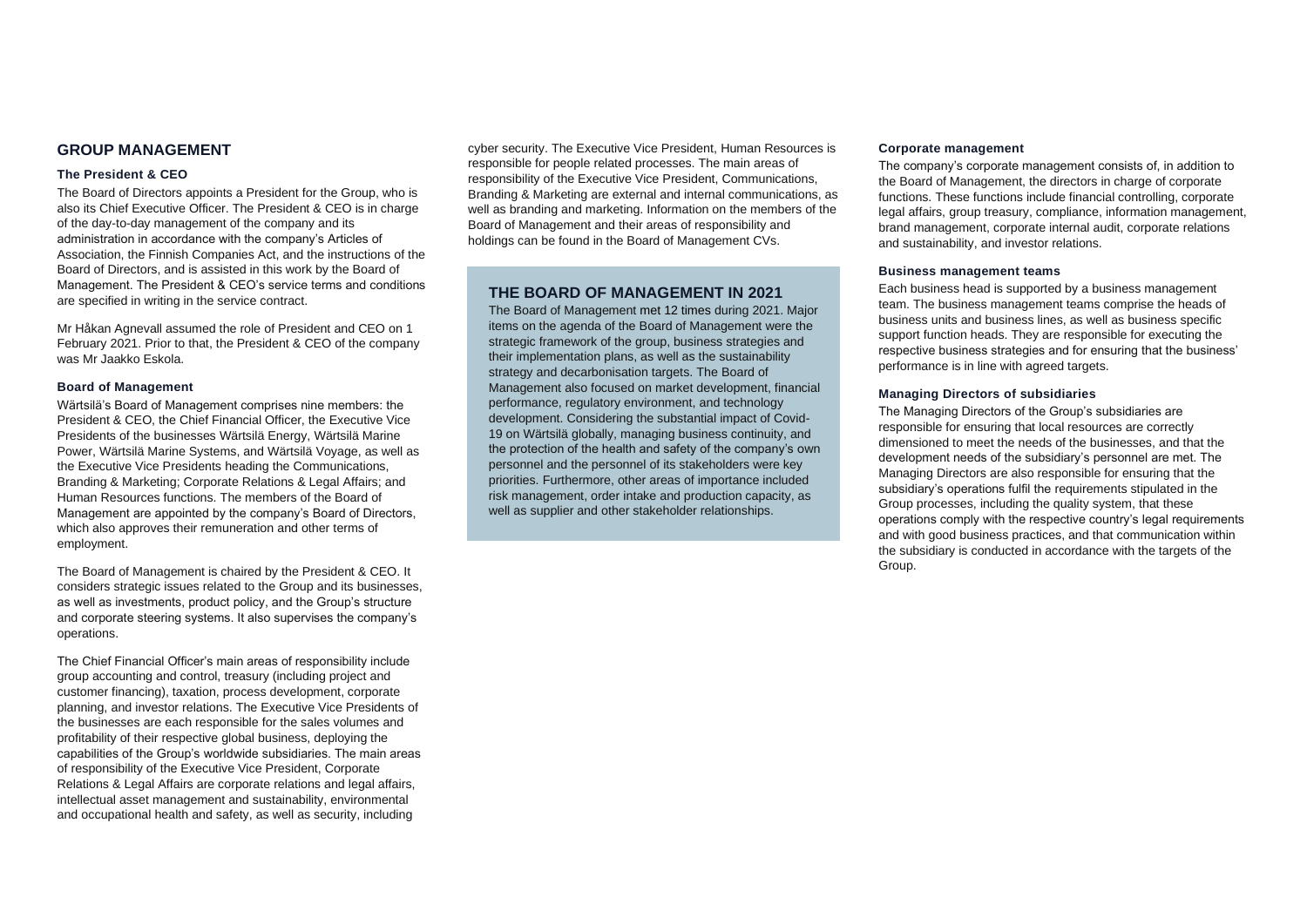## **GROUP MANAGEMENT**

#### **The President & CEO**

The Board of Directors appoints a President for the Group, who is also its Chief Executive Officer. The President & CEO is in charge of the day-to-day management of the company and its administration in accordance with the company's Articles of Association, the Finnish Companies Act, and the instructions of the Board of Directors, and is assisted in this work by the Board of Management. The President & CEO's service terms and conditions are specified in writing in the service contract.

Mr Håkan Agnevall assumed the role of President and CEO on 1 February 2021. Prior to that, the President & CEO of the company was Mr Jaakko Eskola.

#### **Board of Management**

Wärtsilä's Board of Management comprises nine members: the President & CEO, the Chief Financial Officer, the Executive Vice Presidents of the businesses Wärtsilä Energy, Wärtsilä Marine Power, Wärtsilä Marine Systems, and Wärtsilä Voyage, as well as the Executive Vice Presidents heading the Communications, Branding & Marketing; Corporate Relations & Legal Affairs; and Human Resources functions. The members of the Board of Management are appointed by the company's Board of Directors, which also approves their remuneration and other terms of employment.

The Board of Management is chaired by the President & CEO. It considers strategic issues related to the Group and its businesses, as well as investments, product policy, and the Group's structure and corporate steering systems. It also supervises the company's operations.

The Chief Financial Officer's main areas of responsibility include group accounting and control, treasury (including project and customer financing), taxation, process development, corporate planning, and investor relations. The Executive Vice Presidents of the businesses are each responsible for the sales volumes and profitability of their respective global business, deploying the capabilities of the Group's worldwide subsidiaries. The main areas of responsibility of the Executive Vice President, Corporate Relations & Legal Affairs are corporate relations and legal affairs, intellectual asset management and sustainability, environmental and occupational health and safety, as well as security, including

cyber security. The Executive Vice President, Human Resources is responsible for people related processes. The main areas of responsibility of the Executive Vice President, Communications, Branding & Marketing are external and internal communications, as well as branding and marketing. Information on the members of the Board of Management and their areas of responsibility and holdings can be found in the Board of Management CVs.

# **THE BOARD OF MANAGEMENT IN 2021**

The Board of Management met 12 times during 2021. Major items on the agenda of the Board of Management were the strategic framework of the group, business strategies and their implementation plans, as well as the sustainability strategy and decarbonisation targets. The Board of Management also focused on market development, financial performance, regulatory environment, and technology development. Considering the substantial impact of Covid-19 on Wärtsilä globally, managing business continuity, and the protection of the health and safety of the company's own personnel and the personnel of its stakeholders were key priorities. Furthermore, other areas of importance included risk management, order intake and production capacity, as well as supplier and other stakeholder relationships.

#### **Corporate management**

The company's corporate management consists of, in addition to the Board of Management, the directors in charge of corporate functions. These functions include financial controlling, corporate legal affairs, group treasury, compliance, information management, brand management, corporate internal audit, corporate relations and sustainability, and investor relations.

#### **Business management teams**

Each business head is supported by a business management team. The business management teams comprise the heads of business units and business lines, as well as business specific support function heads. They are responsible for executing the respective business strategies and for ensuring that the business' performance is in line with agreed targets.

## **Managing Directors of subsidiaries**

The Managing Directors of the Group's subsidiaries are responsible for ensuring that local resources are correctly dimensioned to meet the needs of the businesses, and that the development needs of the subsidiary's personnel are met. The Managing Directors are also responsible for ensuring that the subsidiary's operations fulfil the requirements stipulated in the Group processes, including the quality system, that these operations comply with the respective country's legal requirements and with good business practices, and that communication within the subsidiary is conducted in accordance with the targets of the Group.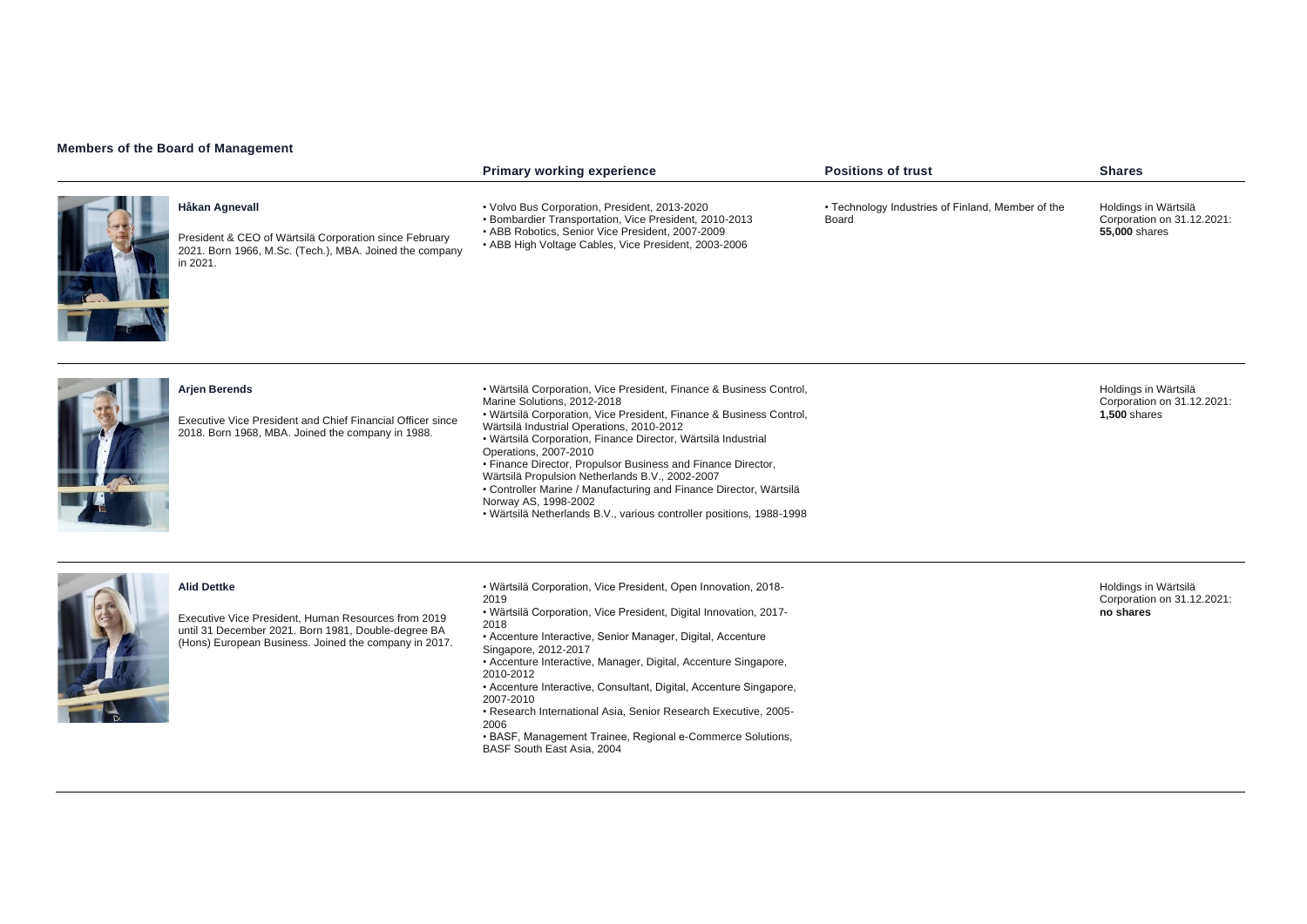## **Members of the Board of Management**

|                                                                                                                                                 | <b>Primary working experience</b>                                                                                                                                                                                                                                                                                                                                                                                                                                                                                                                                                                         | <b>Positions of trust</b>                                  | <b>Shares</b>                                                             |
|-------------------------------------------------------------------------------------------------------------------------------------------------|-----------------------------------------------------------------------------------------------------------------------------------------------------------------------------------------------------------------------------------------------------------------------------------------------------------------------------------------------------------------------------------------------------------------------------------------------------------------------------------------------------------------------------------------------------------------------------------------------------------|------------------------------------------------------------|---------------------------------------------------------------------------|
| Håkan Agnevall<br>President & CEO of Wärtsilä Corporation since February<br>2021. Born 1966, M.Sc. (Tech.), MBA. Joined the company<br>in 2021. | • Volvo Bus Corporation, President, 2013-2020<br>• Bombardier Transportation, Vice President, 2010-2013<br>• ABB Robotics, Senior Vice President, 2007-2009<br>• ABB High Voltage Cables, Vice President, 2003-2006                                                                                                                                                                                                                                                                                                                                                                                       | • Technology Industries of Finland, Member of the<br>Board | Holdings in Wärtsilä<br>Corporation on 31.12.2021:<br>55,000 shares       |
| <b>Arjen Berends</b><br>Executive Vice President and Chief Financial Officer since<br>2018. Born 1968, MBA. Joined the company in 1988.         | • Wärtsilä Corporation, Vice President, Finance & Business Control,<br>Marine Solutions, 2012-2018<br>• Wärtsilä Corporation, Vice President, Finance & Business Control,<br>Wärtsilä Industrial Operations, 2010-2012<br>· Wärtsilä Corporation, Finance Director, Wärtsilä Industrial<br>Operations, 2007-2010<br>• Finance Director, Propulsor Business and Finance Director,<br>Wärtsilä Propulsion Netherlands B.V., 2002-2007<br>• Controller Marine / Manufacturing and Finance Director, Wärtsilä<br>Norway AS, 1998-2002<br>· Wärtsilä Netherlands B.V., various controller positions, 1988-1998 |                                                            | Holdings in Wärtsilä<br>Corporation on 31.12.2021:<br><b>1,500 shares</b> |



#### **Alid Dettke**

Executive Vice President, Human Resources from 2019 until 31 December 2021. Born 1981, Double-degree BA (Hons) European Business. Joined the company in 2017. • Wärtsilä Corporation, Vice President, Open Innovation, 2018- 2019 • Wärtsilä Corporation, Vice President, Digital Innovation, 2017- 2018 • Accenture Interactive, Senior Manager, Digital, Accenture Singapore, 2012-2017 • Accenture Interactive, Manager, Digital, Accenture Singapore, 2010-2012 • Accenture Interactive, Consultant, Digital, Accenture Singapore, 2007-2010 • Research International Asia, Senior Research Executive, 2005- 2006 • BASF, Management Trainee, Regional e-Commerce Solutions, BASF South East Asia, 2004

Holdings in Wärtsilä Corporation on 31.12.2021: **no shares**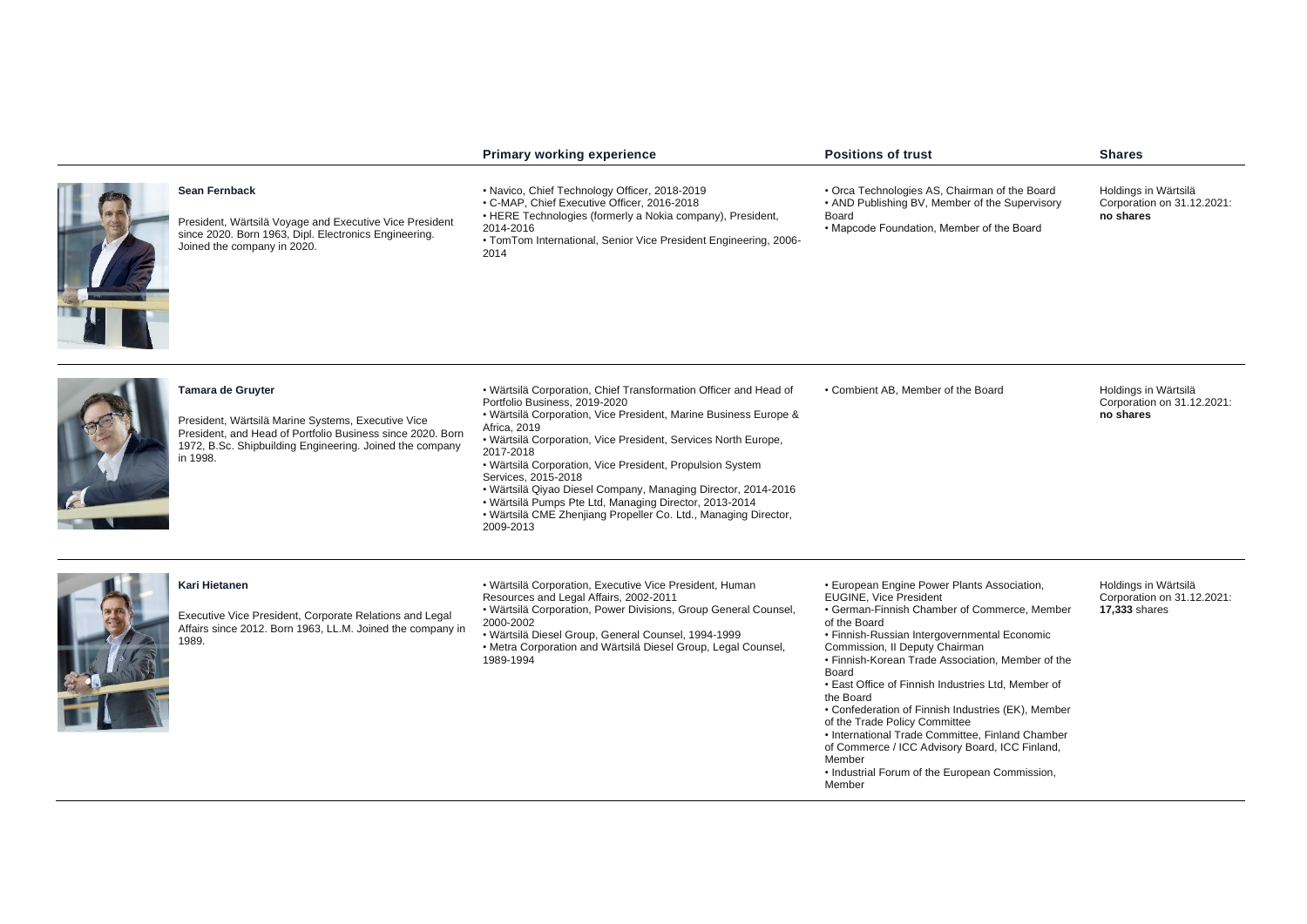|                                                                                                                                                                                                               | Primary working experience                                                                                                                                                                                                                                                                                                                                                                                                                                                                                                                                          | <b>Positions of trust</b>                                                                                                                                                                                                                                                                                                                                                                                                                                                                                                                                                                                                          | <b>Shares</b>                                                              |
|---------------------------------------------------------------------------------------------------------------------------------------------------------------------------------------------------------------|---------------------------------------------------------------------------------------------------------------------------------------------------------------------------------------------------------------------------------------------------------------------------------------------------------------------------------------------------------------------------------------------------------------------------------------------------------------------------------------------------------------------------------------------------------------------|------------------------------------------------------------------------------------------------------------------------------------------------------------------------------------------------------------------------------------------------------------------------------------------------------------------------------------------------------------------------------------------------------------------------------------------------------------------------------------------------------------------------------------------------------------------------------------------------------------------------------------|----------------------------------------------------------------------------|
| Sean Fernback<br>President, Wärtsilä Voyage and Executive Vice President<br>since 2020. Born 1963, Dipl. Electronics Engineering.<br>Joined the company in 2020.                                              | • Navico, Chief Technology Officer, 2018-2019<br>• C-MAP, Chief Executive Officer, 2016-2018<br>• HERE Technologies (formerly a Nokia company), President,<br>2014-2016<br>• TomTom International, Senior Vice President Engineering, 2006-<br>2014                                                                                                                                                                                                                                                                                                                 | • Orca Technologies AS, Chairman of the Board<br>• AND Publishing BV, Member of the Supervisory<br>Board<br>• Mapcode Foundation, Member of the Board                                                                                                                                                                                                                                                                                                                                                                                                                                                                              | Holdings in Wärtsilä<br>Corporation on 31.12.2021:<br>no shares            |
| Tamara de Gruyter<br>President, Wärtsilä Marine Systems, Executive Vice<br>President, and Head of Portfolio Business since 2020. Born<br>1972, B.Sc. Shipbuilding Engineering. Joined the company<br>in 1998. | • Wärtsilä Corporation, Chief Transformation Officer and Head of<br>Portfolio Business, 2019-2020<br>• Wärtsilä Corporation, Vice President, Marine Business Europe &<br>Africa, 2019<br>• Wärtsilä Corporation, Vice President, Services North Europe,<br>2017-2018<br>• Wärtsilä Corporation, Vice President, Propulsion System<br>Services, 2015-2018<br>• Wärtsilä Qiyao Diesel Company, Managing Director, 2014-2016<br>• Wärtsilä Pumps Pte Ltd, Managing Director, 2013-2014<br>• Wärtsilä CME Zhenjiang Propeller Co. Ltd., Managing Director,<br>2009-2013 | • Combient AB, Member of the Board                                                                                                                                                                                                                                                                                                                                                                                                                                                                                                                                                                                                 | Holdings in Wärtsilä<br>Corporation on 31.12.2021:<br>no shares            |
| Kari Hietanen<br>Executive Vice President, Corporate Relations and Legal<br>Affairs since 2012. Born 1963, LL.M. Joined the company in<br>1989.                                                               | • Wärtsilä Corporation, Executive Vice President, Human<br>Resources and Legal Affairs, 2002-2011<br>• Wärtsilä Corporation, Power Divisions, Group General Counsel,<br>2000-2002<br>· Wärtsilä Diesel Group, General Counsel, 1994-1999<br>• Metra Corporation and Wärtsilä Diesel Group, Legal Counsel,<br>1989-1994                                                                                                                                                                                                                                              | • European Engine Power Plants Association,<br><b>EUGINE, Vice President</b><br>• German-Finnish Chamber of Commerce, Member<br>of the Board<br>• Finnish-Russian Intergovernmental Economic<br>Commission, II Deputy Chairman<br>• Finnish-Korean Trade Association, Member of the<br>Board<br>• East Office of Finnish Industries Ltd, Member of<br>the Board<br>• Confederation of Finnish Industries (EK), Member<br>of the Trade Policy Committee<br>• International Trade Committee, Finland Chamber<br>of Commerce / ICC Advisory Board, ICC Finland,<br>Member<br>• Industrial Forum of the European Commission,<br>Member | Holdings in Wärtsilä<br>Corporation on 31.12.2021:<br><b>17,333 shares</b> |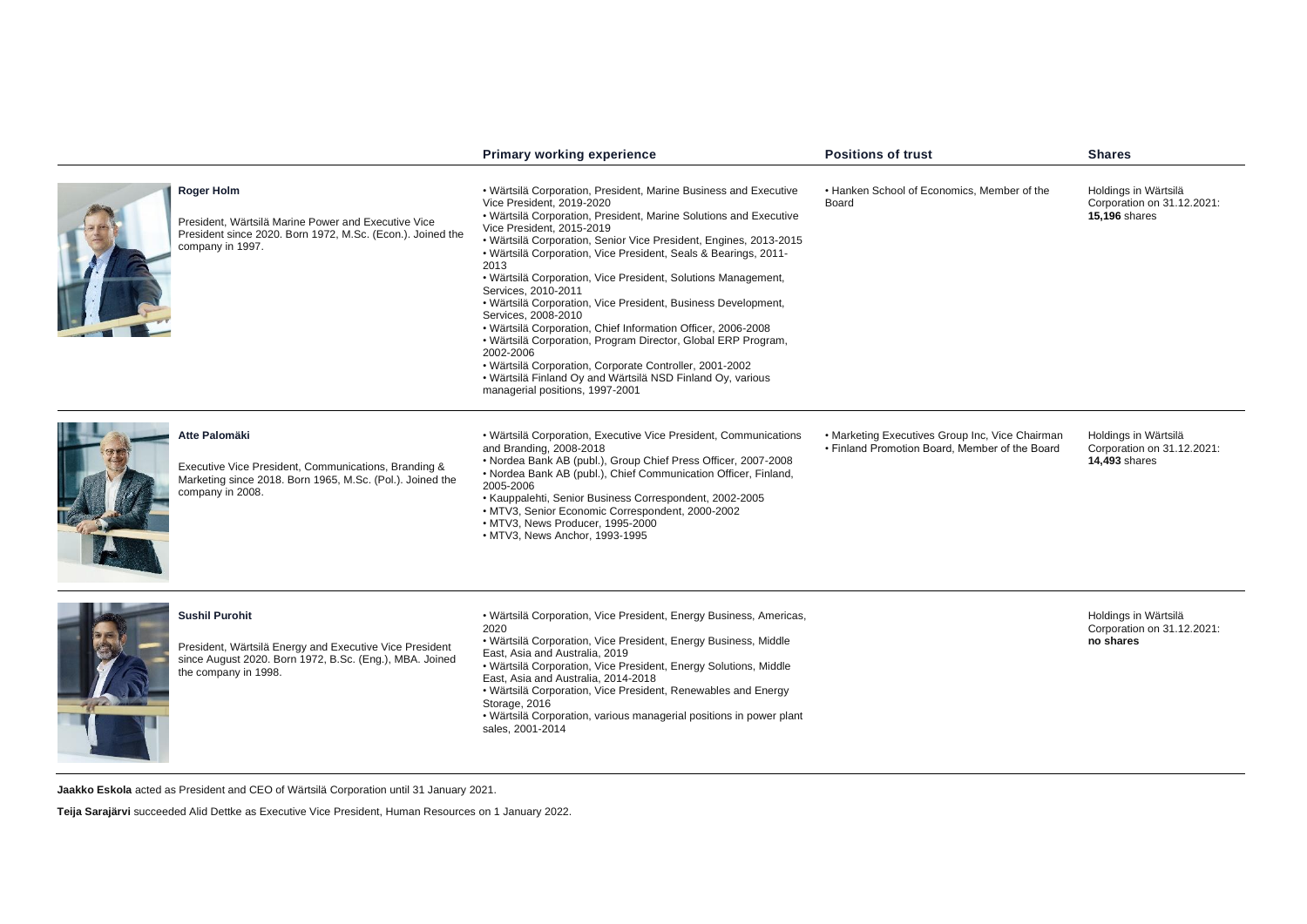|                                                                                                                                                                     | <b>Primary working experience</b>                                                                                                                                                                                                                                                                                                                                                                                                                                                                                                                                                                                                                                                                                                                                                                                                         | <b>Positions of trust</b>                                                                         | <b>Shares</b>                                                              |
|---------------------------------------------------------------------------------------------------------------------------------------------------------------------|-------------------------------------------------------------------------------------------------------------------------------------------------------------------------------------------------------------------------------------------------------------------------------------------------------------------------------------------------------------------------------------------------------------------------------------------------------------------------------------------------------------------------------------------------------------------------------------------------------------------------------------------------------------------------------------------------------------------------------------------------------------------------------------------------------------------------------------------|---------------------------------------------------------------------------------------------------|----------------------------------------------------------------------------|
| Roger Holm<br>President, Wärtsilä Marine Power and Executive Vice<br>President since 2020. Born 1972, M.Sc. (Econ.). Joined the<br>company in 1997.                 | • Wärtsilä Corporation, President, Marine Business and Executive<br>Vice President, 2019-2020<br>• Wärtsilä Corporation, President, Marine Solutions and Executive<br>Vice President, 2015-2019<br>• Wärtsilä Corporation, Senior Vice President, Engines, 2013-2015<br>• Wärtsilä Corporation, Vice President, Seals & Bearings, 2011-<br>2013<br>• Wärtsilä Corporation, Vice President, Solutions Management,<br>Services, 2010-2011<br>• Wärtsilä Corporation, Vice President, Business Development,<br>Services, 2008-2010<br>· Wärtsilä Corporation, Chief Information Officer, 2006-2008<br>• Wärtsilä Corporation, Program Director, Global ERP Program,<br>2002-2006<br>• Wärtsilä Corporation, Corporate Controller, 2001-2002<br>. Wärtsilä Finland Oy and Wärtsilä NSD Finland Oy, various<br>managerial positions, 1997-2001 | • Hanken School of Economics, Member of the<br>Board                                              | Holdings in Wärtsilä<br>Corporation on 31.12.2021:<br><b>15,196 shares</b> |
| Atte Palomäki<br>Executive Vice President, Communications, Branding &<br>Marketing since 2018. Born 1965, M.Sc. (Pol.). Joined the<br>company in 2008.              | • Wärtsilä Corporation, Executive Vice President, Communications<br>and Branding, 2008-2018<br>. Nordea Bank AB (publ.), Group Chief Press Officer, 2007-2008<br>• Nordea Bank AB (publ.), Chief Communication Officer, Finland,<br>2005-2006<br>• Kauppalehti, Senior Business Correspondent, 2002-2005<br>• MTV3, Senior Economic Correspondent, 2000-2002<br>· MTV3, News Producer, 1995-2000<br>• MTV3, News Anchor, 1993-1995                                                                                                                                                                                                                                                                                                                                                                                                        | • Marketing Executives Group Inc, Vice Chairman<br>• Finland Promotion Board, Member of the Board | Holdings in Wärtsilä<br>Corporation on 31.12.2021:<br><b>14,493 shares</b> |
| <b>Sushil Purohit</b><br>President, Wärtsilä Energy and Executive Vice President<br>since August 2020. Born 1972, B.Sc. (Eng.), MBA. Joined<br>the company in 1998. | • Wärtsilä Corporation, Vice President, Energy Business, Americas,<br>2020<br>• Wärtsilä Corporation, Vice President, Energy Business, Middle<br>East, Asia and Australia, 2019<br>• Wärtsilä Corporation, Vice President, Energy Solutions, Middle<br>East, Asia and Australia, 2014-2018<br>• Wärtsilä Corporation, Vice President, Renewables and Energy<br>Storage, 2016<br>• Wärtsilä Corporation, various managerial positions in power plant<br>sales, 2001-2014                                                                                                                                                                                                                                                                                                                                                                   |                                                                                                   | Holdings in Wärtsilä<br>Corporation on 31.12.2021:<br>no shares            |

**Jaakko Eskola** acted as President and CEO of Wärtsilä Corporation until 31 January 2021.

**Teija Sarajärvi** succeeded Alid Dettke as Executive Vice President, Human Resources on 1 January 2022.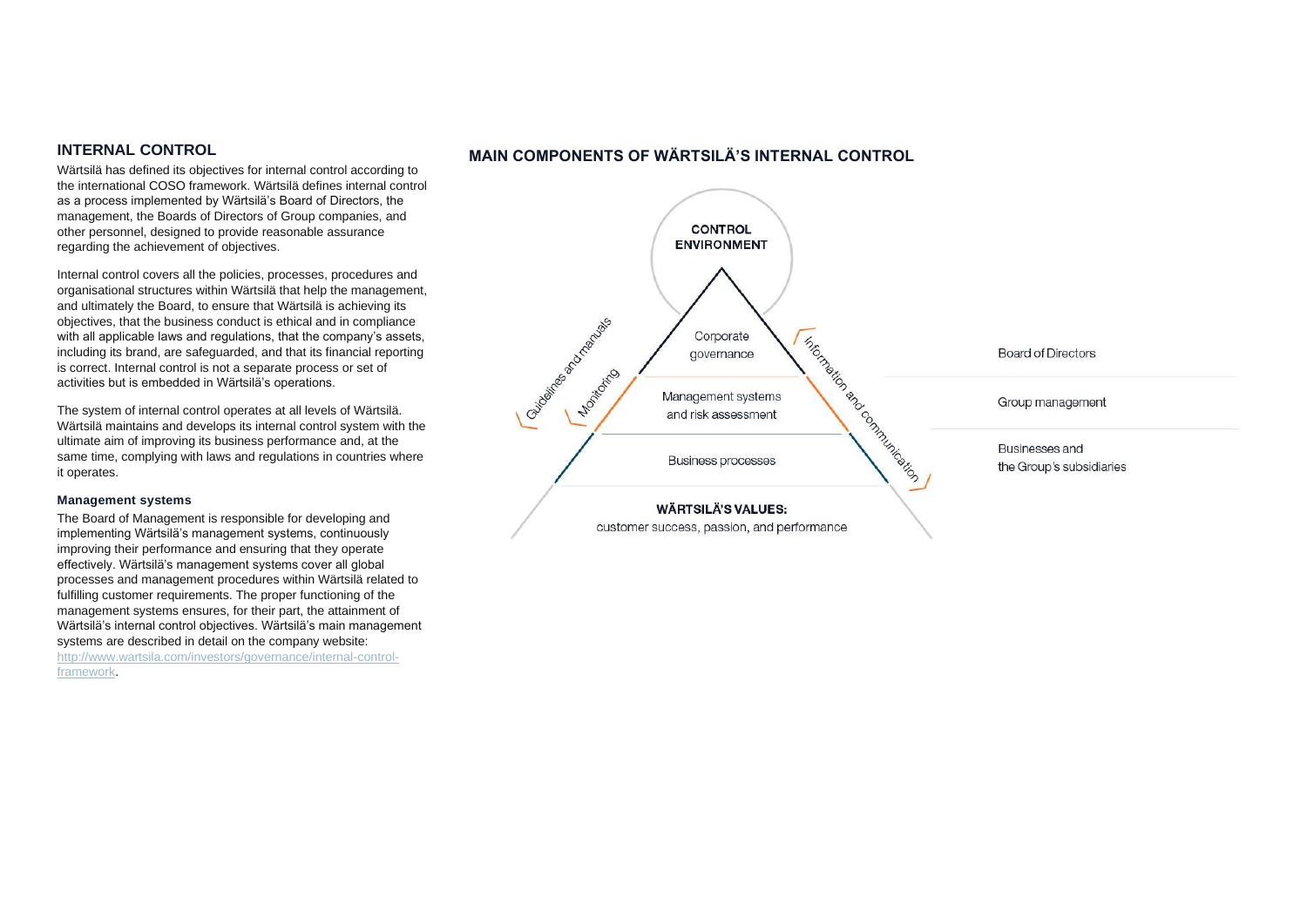# **INTERNAL CONTROL**

Wärtsilä has defined its objectives for internal control according to the international COSO framework. Wärtsilä defines internal control as a process implemented by Wärtsilä's Board of Directors, the management, the Boards of Directors of Group companies, and other personnel, designed to provide reasonable assurance regarding the achievement of objectives.

Internal control covers all the policies, processes, procedures and organisational structures within Wärtsilä that help the management, and ultimately the Board, to ensure that Wärtsilä is achieving its objectives, that the business conduct is ethical and in compliance with all applicable laws and regulations, that the company's assets, including its brand, are safeguarded, and that its financial reporting is correct. Internal control is not a separate process or set of activities but is embedded in Wärtsilä's operations.

The system of internal control operates at all levels of Wärtsilä. Wärtsilä maintains and develops its internal control system with the ultimate aim of improving its business performance and, at the same time, complying with laws and regulations in countries where it operates.

## **Management systems**

The Board of Management is responsible for developing and implementing Wärtsilä's management systems, continuously improving their performance and ensuring that they operate effectively. Wärtsilä's management systems cover all global processes and management procedures within Wärtsilä related to fulfilling customer requirements. The proper functioning of the management systems ensures, for their part, the attainment of Wärtsilä's internal control objectives. Wärtsilä's main management systems are described in detail on the company website: [http://www.wartsila.com/investors/governance/internal-control-](http://www.wartsila.com/investors/governance/internal-control-framework)

[framework.](http://www.wartsila.com/investors/governance/internal-control-framework)

# **MAIN COMPONENTS OF WÄRTSILÄ'S INTERNAL CONTROL**

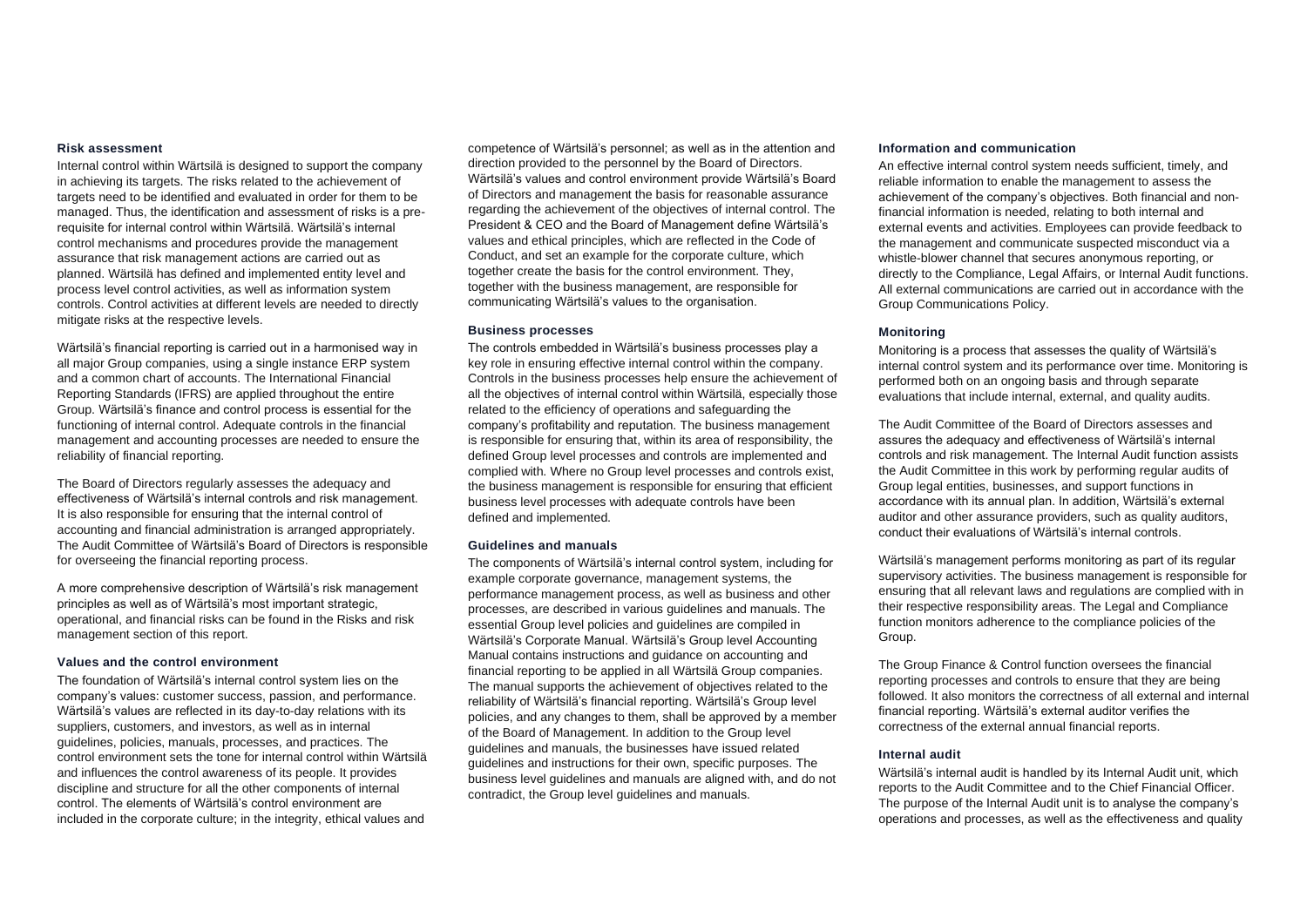#### **Risk assessment**

Internal control within Wärtsilä is designed to support the company in achieving its targets. The risks related to the achievement of targets need to be identified and evaluated in order for them to be managed. Thus, the identification and assessment of risks is a prerequisite for internal control within Wärtsilä. Wärtsilä's internal control mechanisms and procedures provide the management assurance that risk management actions are carried out as planned. Wärtsilä has defined and implemented entity level and process level control activities, as well as information system controls. Control activities at different levels are needed to directly mitigate risks at the respective levels.

Wärtsilä's financial reporting is carried out in a harmonised way in all major Group companies, using a single instance ERP system and a common chart of accounts. The International Financial Reporting Standards (IFRS) are applied throughout the entire Group. Wärtsilä's finance and control process is essential for the functioning of internal control. Adequate controls in the financial management and accounting processes are needed to ensure the reliability of financial reporting.

The Board of Directors regularly assesses the adequacy and effectiveness of Wärtsilä's internal controls and risk management. It is also responsible for ensuring that the internal control of accounting and financial administration is arranged appropriately. The Audit Committee of Wärtsilä's Board of Directors is responsible for overseeing the financial reporting process.

A more comprehensive description of Wärtsilä's risk management principles as well as of Wärtsilä's most important strategic, operational, and financial risks can be found in the Risks and risk management section of this report.

#### **Values and the control environment**

The foundation of Wärtsilä's internal control system lies on the company's values: customer success, passion, and performance. Wärtsilä's values are reflected in its day-to-day relations with its suppliers, customers, and investors, as well as in internal guidelines, policies, manuals, processes, and practices. The control environment sets the tone for internal control within Wärtsilä and influences the control awareness of its people. It provides discipline and structure for all the other components of internal control. The elements of Wärtsilä's control environment are included in the corporate culture; in the integrity, ethical values and

competence of Wärtsilä's personnel; as well as in the attention and direction provided to the personnel by the Board of Directors. Wärtsilä's values and control environment provide Wärtsilä's Board of Directors and management the basis for reasonable assurance regarding the achievement of the objectives of internal control. The President & CEO and the Board of Management define Wärtsilä's values and ethical principles, which are reflected in the Code of Conduct, and set an example for the corporate culture, which together create the basis for the control environment. They, together with the business management, are responsible for communicating Wärtsilä's values to the organisation.

#### **Business processes**

The controls embedded in Wärtsilä's business processes play a key role in ensuring effective internal control within the company. Controls in the business processes help ensure the achievement of all the objectives of internal control within Wärtsilä, especially those related to the efficiency of operations and safeguarding the company's profitability and reputation. The business management is responsible for ensuring that, within its area of responsibility, the defined Group level processes and controls are implemented and complied with. Where no Group level processes and controls exist, the business management is responsible for ensuring that efficient business level processes with adequate controls have been defined and implemented.

#### **Guidelines and manuals**

The components of Wärtsilä's internal control system, including for example corporate governance, management systems, the performance management process, as well as business and other processes, are described in various guidelines and manuals. The essential Group level policies and guidelines are compiled in Wärtsilä's Corporate Manual. Wärtsilä's Group level Accounting Manual contains instructions and guidance on accounting and financial reporting to be applied in all Wärtsilä Group companies. The manual supports the achievement of objectives related to the reliability of Wärtsilä's financial reporting. Wärtsilä's Group level policies, and any changes to them, shall be approved by a member of the Board of Management. In addition to the Group level guidelines and manuals, the businesses have issued related guidelines and instructions for their own, specific purposes. The business level guidelines and manuals are aligned with, and do not contradict, the Group level guidelines and manuals.

#### **Information and communication**

An effective internal control system needs sufficient, timely, and reliable information to enable the management to assess the achievement of the company's objectives. Both financial and nonfinancial information is needed, relating to both internal and external events and activities. Employees can provide feedback to the management and communicate suspected misconduct via a whistle-blower channel that secures anonymous reporting, or directly to the Compliance, Legal Affairs, or Internal Audit functions. All external communications are carried out in accordance with the Group Communications Policy.

## **Monitoring**

Monitoring is a process that assesses the quality of Wärtsilä's internal control system and its performance over time. Monitoring is performed both on an ongoing basis and through separate evaluations that include internal, external, and quality audits.

The Audit Committee of the Board of Directors assesses and assures the adequacy and effectiveness of Wärtsilä's internal controls and risk management. The Internal Audit function assists the Audit Committee in this work by performing regular audits of Group legal entities, businesses, and support functions in accordance with its annual plan. In addition, Wärtsilä's external auditor and other assurance providers, such as quality auditors, conduct their evaluations of Wärtsilä's internal controls.

Wärtsilä's management performs monitoring as part of its regular supervisory activities. The business management is responsible for ensuring that all relevant laws and regulations are complied with in their respective responsibility areas. The Legal and Compliance function monitors adherence to the compliance policies of the Group.

The Group Finance & Control function oversees the financial reporting processes and controls to ensure that they are being followed. It also monitors the correctness of all external and internal financial reporting. Wärtsilä's external auditor verifies the correctness of the external annual financial reports.

#### **Internal audit**

Wärtsilä's internal audit is handled by its Internal Audit unit, which reports to the Audit Committee and to the Chief Financial Officer. The purpose of the Internal Audit unit is to analyse the company's operations and processes, as well as the effectiveness and quality